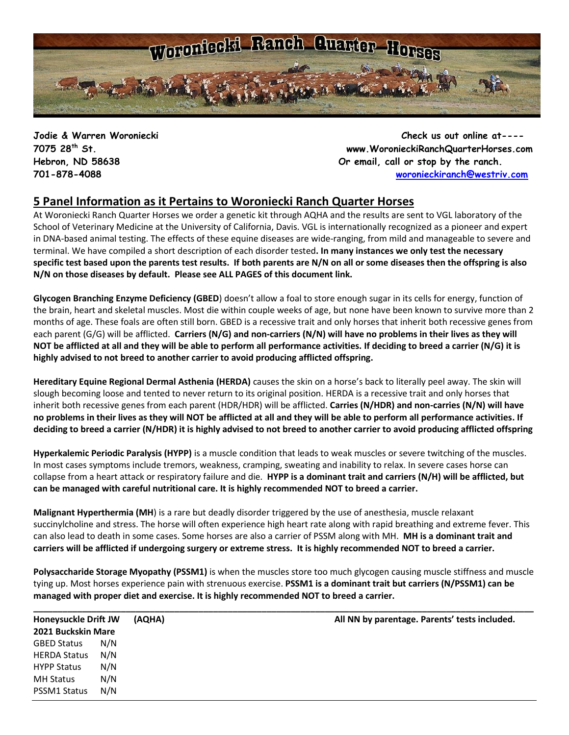

**Jodie & Warren Woroniecki Check us out online at---- 7075 28th St. www.WoronieckiRanchQuarterHorses.com Hebron, ND 58638 Or email, call or stop by the ranch. 701-878-4088 [woronieckiranch@westriv.com](mailto:woronieckiranch@westriv.com)**

### **5 Panel Information as it Pertains to Woroniecki Ranch Quarter Horses**

At Woroniecki Ranch Quarter Horses we order a genetic kit through AQHA and the results are sent to VGL laboratory of the School of Veterinary Medicine at the University of California, Davis. VGL is internationally recognized as a pioneer and expert in DNA-based animal testing. The [effects of these equine diseases](http://americashorsedaily.com/genetic-test-round-up) are wide-ranging, from mild and manageable to severe and terminal. We have compiled a short description of each disorder tested**. In many instances we only test the necessary specific test based upon the parents test results. If both parents are N/N on all or some diseases then the offspring is also N/N on those diseases by default. Please see ALL PAGES of this document link.**

**Glycogen Branching Enzyme Deficiency (GBED**) doesn't allow a foal to store enough sugar in its cells for energy, function of the brain, heart and skeletal muscles. Most die within couple weeks of age, but none have been known to survive more than 2 months of age. These foals are often still born. GBED is a recessive trait and only horses that inherit both recessive genes from each parent (G/G) will be afflicted. **Carriers (N/G) and non-carriers (N/N) will have no problems in their lives as they will NOT be afflicted at all and they will be able to perform all performance activities. If deciding to breed a carrier (N/G) it is highly advised to not breed to another carrier to avoid producing afflicted offspring.**

**Hereditary Equine Regional Dermal Asthenia (HERDA)** causes the skin on a horse's back to literally peel away. The skin will slough becoming loose and tented to never return to its original position. HERDA is a recessive trait and only horses that inherit both recessive genes from each parent (HDR/HDR) will be afflicted. **Carries (N/HDR) and non-carries (N/N) will have no problems in their lives as they will NOT be afflicted at all and they will be able to perform all performance activities. If deciding to breed a carrier (N/HDR) it is highly advised to not breed to another carrier to avoid producing afflicted offspring**

**Hyperkalemic Periodic Paralysis (HYPP)** is a muscle condition that leads to weak muscles or severe twitching of the muscles. In most cases symptoms include tremors, weakness, cramping, sweating and inability to relax. In severe cases horse can collapse from a heart attack or respiratory failure and die. **HYPP is a dominant trait and carriers (N/H) will be afflicted, but can be managed with careful nutritional care. It is highly recommended NOT to breed a carrier.**

**Malignant Hyperthermia (MH**) is a rare but deadly disorder triggered by the use of anesthesia, muscle relaxant succinylcholine and stress. The horse will often experience high heart rate along with rapid breathing and extreme fever. This can also lead to death in some cases. Some horses are also a carrier of PSSM along with MH. **MH is a dominant trait and carriers will be afflicted if undergoing surgery or extreme stress. It is highly recommended NOT to breed a carrier.** 

**Polysaccharide Storage Myopathy (PSSM1)** is when the muscles store too much glycogen causing muscle stiffness and muscle tying up. Most horses experience pain with strenuous exercise. **PSSM1 is a dominant trait but carriers (N/PSSM1) can be managed with proper diet and exercise. It is highly recommended NOT to breed a carrier.**

| <b>Honeysuckle Drift JW</b> |     | (AQHA) | All NN by parentage. Parents' tests included. |  |  |
|-----------------------------|-----|--------|-----------------------------------------------|--|--|
| 2021 Buckskin Mare          |     |        |                                               |  |  |
| <b>GBED Status</b>          | N/N |        |                                               |  |  |
| <b>HERDA Status</b>         | N/N |        |                                               |  |  |
| <b>HYPP Status</b>          | N/N |        |                                               |  |  |
| <b>MH Status</b>            | N/N |        |                                               |  |  |
| PSSM1 Status                | N/N |        |                                               |  |  |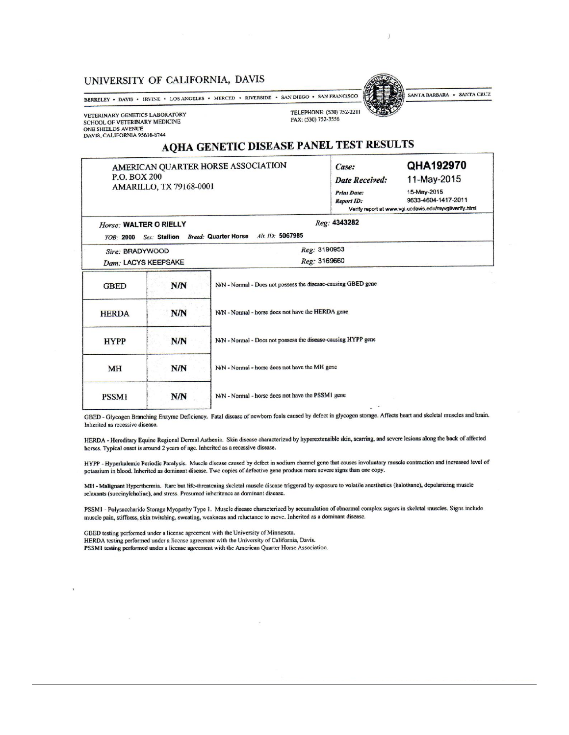#### UNIVERSITY OF CALIFORNIA, DAVIS

BERKELEY • DAVIS • IRVINE • LOS ANGELES • MERCED • RIVERSIDE • SAN DIEGO • SAN FRANCISCO

VETERINARY GENETICS LABORATORY SCHOOL OF VETERINARY MEDICINE ONE SHIELDS AVENUE DAVIS, CALIFORNIA 95616-8744

**HERDA** 

TELEPHONE: (530) 752-2211



FAX: (530) 752-3556

## AQHA GENETIC DISEASE PANEL TEST RESULTS

AMERICAN OUARTER HORSE ASSOCIATION P.O. BOX 200 AMARILLO, TX 79168-0001

**N/N** 

| <b>TEGI RECOLLS</b>   |                     |  |  |  |  |
|-----------------------|---------------------|--|--|--|--|
| Case:                 | QHA192970           |  |  |  |  |
| <b>Date Received:</b> | 11-May-2015         |  |  |  |  |
| <b>Print Date:</b>    | 15-May-2015         |  |  |  |  |
| <b>Report ID:</b>     | 9633-4604-1417-2011 |  |  |  |  |

Verify report at www.vgl.ucdavis.edu/myvgl/verify.html Reg: 4343282

| Horse: WALTER O RIELLY |               | Reg: 4343282                                                  |
|------------------------|---------------|---------------------------------------------------------------|
| $YOR \cdot 2000$       | Sex: Stallion | Alt. ID: 5067985<br><b>Breed: Quarter Horse</b>               |
| Sire: BRADYWOOD        |               | Reg: 3190953                                                  |
| Dam: LACYS KEEPSAKE    |               | Reg: 3169660                                                  |
| <b>GBED</b>            | N/N           | N/N - Normal - Does not possess the disease-causing GBED gene |
| <b>HERDA</b>           | <b>N/N</b>    | N/N - Normal - horse does not have the HERDA gene             |

**HYPP** N/N N/N - Normal - horse does not have the MH gene MH **N/N** N/N - Normal - horse does not have the PSSM1 gene **PSSM1**  $N/N$ 

GBED - Glycogen Branching Enzyme Deficiency. Fatal disease of newborn foals caused by defect in glycogen storage. Affects heart and skeletal muscles and brain. Inherited as recessive disease.

N/N - Normal - Docs not possess the disease-causing HYPP gene

HERDA - Hereditary Equine Regional Dermal Asthenia. Skin disease characterized by hyperextensible skin, scarring, and severe lesions along the back of affected horses. Typical onset is around 2 years of age. Inherited as a recessive disease.

HYPP - Hyperkalemic Periodic Paralysis. Muscle disease caused by defect in sodium channel gene that causes involuntary muscle contraction and increased level of potassium in blood. Inherited as dominant disease. Two copies of defective gene produce more severe signs than one copy.

MH - Malignant Hyperthermia. Rare but life-threatening skeletal muscle disease triggered by exposure to volatile anesthetics (halothane), depolarizing muscle relaxants (succinylcholine), and stress. Presumed inheritance as dominant disease.

PSSMI - Polysaccharide Storage Myopathy Type 1. Muscle disease characterized by accumulation of abnormal complex sugars in skeletal muscles. Signs include muscle pain, stiffness, skin twitching, sweating, weakness and reluctance to move. Inherited as a dominant disease.

GBED testing performed under a license agreement with the University of Minnesota. HERDA testing performed under a license agreement with the University of California, Davis. PSSM1 testing performed under a license agreement with the American Quarter Horse Association.